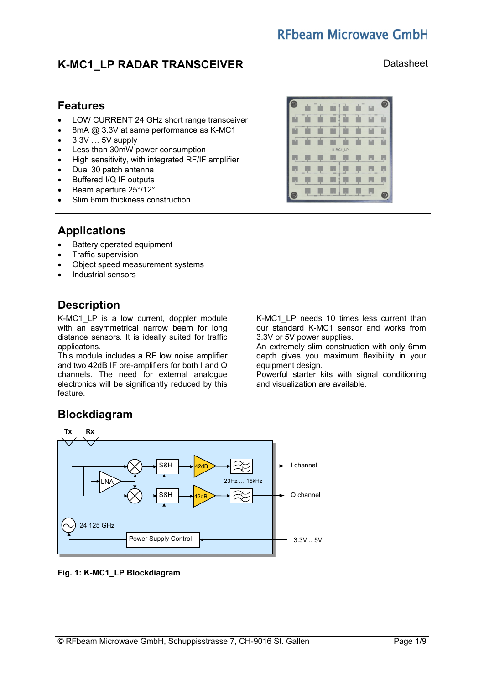# **REbeam Microwave GmbH**

## **K-MC1 LP RADAR TRANSCEIVER** Datasheet

## **Features**

- LOW CURRENT 24 GHz short range transceiver
- 8mA @ 3.3V at same performance as K-MC1
- 3.3V … 5V supply
- Less than 30mW power consumption
- High sensitivity, with integrated RF/IF amplifier
- Dual 30 patch antenna
- Buffered I/Q IF outputs
- Beam aperture 25°/12°
- Slim 6mm thickness construction

## **Applications**

- Battery operated equipment
- Traffic supervision
- Object speed measurement systems
- Industrial sensors

## **Description**

K-MC1 LP is a low current, doppler module with an asymmetrical narrow beam for long distance sensors. It is ideally suited for traffic applicatons.

This module includes a RF low noise amplifier and two 42dB IF pre-amplifiers for both I and Q channels. The need for external analogue electronics will be significantly reduced by this feature.

K-MC1 LP needs 10 times less current than our standard K-MC1 sensor and works from 3.3V or 5V power supplies.

An extremely slim construction with only 6mm depth gives you maximum flexibility in your equipment design.

Powerful starter kits with signal conditioning and visualization are available.

# **Blockdiagram**



## **Fig. 1: K-MC1\_LP Blockdiagram**

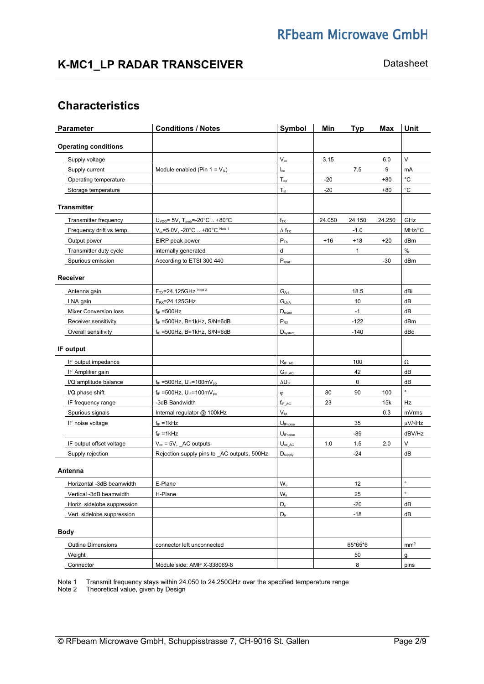# **RFbeam Microwave GmbH**

# K-MC1\_LP RADAR TRANSCEIVER **Datasheet** Datasheet

# **Characteristics**

| Parameter                   | <b>Conditions / Notes</b>                              | <b>Symbol</b>                   | Min    | <b>Typ</b> | <b>Max</b> | <b>Unit</b>          |
|-----------------------------|--------------------------------------------------------|---------------------------------|--------|------------|------------|----------------------|
| <b>Operating conditions</b> |                                                        |                                 |        |            |            |                      |
| Supply voltage              |                                                        | $V_{\rm cc}$                    | 3.15   |            | 6.0        | $\mathsf V$          |
| Supply current              | Module enabled (Pin $1 = V_{IL}$ )                     | $\mathsf{I}_{\mathrm{cc}}$      |        | 7.5        | 9          | mA                   |
| Operating temperature       |                                                        | $T_{op}$                        | $-20$  |            | $+80$      | $^{\circ}C$          |
| Storage temperature         |                                                        | $T_{st}$                        | $-20$  |            | $+80$      | $^{\circ}{\rm C}$    |
| <b>Transmitter</b>          |                                                        |                                 |        |            |            |                      |
| Transmitter frequency       | $U_{\text{VCO}} = 5V$ , T <sub>amb</sub> =-20°C  +80°C | $f_{TX}$                        | 24.050 | 24.150     | 24.250     | GHz                  |
| Frequency drift vs temp.    | $V_{cc} = 5.0V, -20^{\circ}C. +80^{\circ}C^{Note1}$    | $\Delta$ f <sub>TX</sub>        |        | $-1.0$     |            | MHz/°C               |
| Output power                | EIRP peak power                                        | $P_{TX}$                        | $+16$  | $+18$      | $+20$      | dBm                  |
| Transmitter duty cycle      | internally generated                                   | d                               |        | 1          |            | $\%$                 |
| Spurious emission           | According to ETSI 300 440                              | $P_{spur}$                      |        |            | $-30$      | dBm                  |
| Receiver                    |                                                        |                                 |        |            |            |                      |
| Antenna gain                | F <sub>TX</sub> =24.125GHz Note 2                      | $G_{Ant}$                       |        | 18.5       |            | dBi                  |
| LNA gain                    | $F_{RX} = 24.125$ GHz                                  | G <sub>LNA</sub>                |        | 10         |            | dB                   |
| Mixer Conversion loss       | $f_{IF} = 500 Hz$                                      | D <sub>mixer</sub>              |        | $-1$       |            | dB                   |
| Receiver sensitivity        | $f_{IF}$ =500Hz, B=1kHz, S/N=6dB                       | $P_{RX}$                        |        | $-122$     |            | dBm                  |
| Overall sensitivity         | $f_{IF}$ =500Hz, B=1kHz, S/N=6dB                       | $D_{system}$                    |        | $-140$     |            | dBc                  |
|                             |                                                        |                                 |        |            |            |                      |
| IF output                   |                                                        |                                 |        |            |            |                      |
| IF output impedance         |                                                        | $R_{IF\_AC}$                    |        | 100        |            | $\Omega$             |
| IF Amplifier gain           |                                                        | $G_{IF\_AC}$                    |        | 42         |            | dB                   |
| I/Q amplitude balance       | $f_{IF}$ =500Hz, $U_{IF}$ =100mV <sub>pp</sub>         | $\Delta U_{\text{IF}}$          |        | 0          |            | dB                   |
| I/Q phase shift             | $f_{IF} = 500 Hz$ , $U_{IF} = 100 mV_{pp}$             | φ                               | 80     | 90         | 100        | $\circ$              |
| IF frequency range          | -3dB Bandwidth                                         | $f_{IFAC}$                      | 23     |            | 15k        | Hz                   |
| Spurious signals            | Internal regulator @ 100kHz                            | $V_{sp}$                        |        |            | 0.3        | mVrms                |
| IF noise voltage            | $f_{IF} = 1kHz$                                        | $U_{\underline{\text{Fnoise}}}$ |        | 35         |            | $\mu$ V/ $\sqrt{Hz}$ |
|                             | $f_{IF} = 1kHz$                                        | $U_{\text{IFnoise}}$            |        | $-89$      |            | dBV/Hz               |
| IF output offset voltage    | $V_{cc}$ = 5V, AC outputs                              | $U_{\text{os\_AC}}$             | 1.0    | 1.5        | 2.0        | V                    |
| Supply rejection            | Rejection supply pins to _AC outputs, 500Hz            | $D_{\text{supply}}$             |        | $-24$      |            | dB                   |
| Antenna                     |                                                        |                                 |        |            |            |                      |
| Horizontal -3dB beamwidth   | E-Plane                                                | $W_{\varphi}$                   |        | 12         |            | $\circ$              |
| Vertical -3dB beamwidth     | H-Plane                                                | $W_{\theta}$                    |        | 25         |            | $\circ$              |
| Horiz. sidelobe suppression |                                                        | $D_{\varphi}$                   |        | $-20$      |            | dB                   |
| Vert. sidelobe suppression  |                                                        | $\mathsf{D}_\theta$             |        | $-18$      |            | dB                   |
| <b>Body</b>                 |                                                        |                                 |        |            |            |                      |
| <b>Outline Dimensions</b>   | connector left unconnected                             |                                 |        | 65*65*6    |            | mm <sup>3</sup>      |
| Weight                      |                                                        |                                 |        | 50         |            | g                    |
| Connector                   | Module side: AMP X-338069-8                            |                                 |        | 8          |            | pins                 |

Note 1 Transmit frequency stays within 24.050 to 24.250GHz over the specified temperature range

Note 2 Theoretical value, given by Design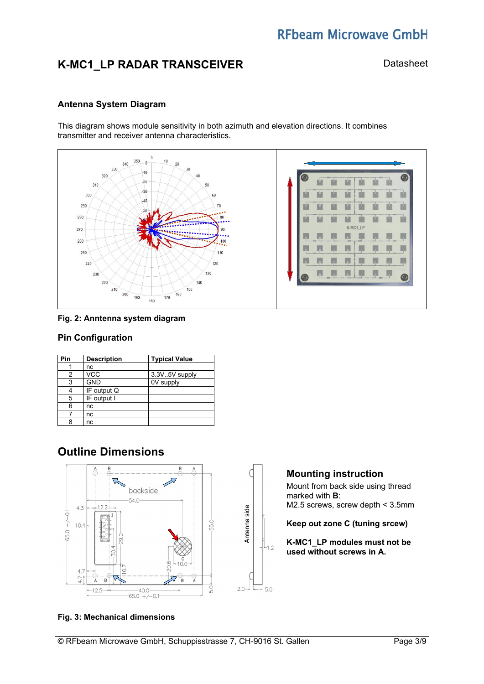# **RFbeam Microwave GmbH**

## K-MC1\_LP RADAR TRANSCEIVER **Datasheet** Datasheet

## **Antenna System Diagram**

This diagram shows module sensitivity in both azimuth and elevation directions. It combines transmitter and receiver antenna characteristics.





## **Pin Configuration**

| Pin | <b>Description</b> | <b>Typical Value</b> |
|-----|--------------------|----------------------|
|     | nc                 |                      |
| 2   | <b>VCC</b>         | 3.3V.5V supply       |
| 3   | <b>GND</b>         | 0V supply            |
| 4   | IF output Q        |                      |
| 5   | IF output I        |                      |
| 6   | nc                 |                      |
|     | nc                 |                      |
| 8   | nc                 |                      |

## **Outline Dimensions**



#### **Fig. 3: Mechanical dimensions**



Mount from back side using thread marked with **B**: M2.5 screws, screw depth < 3.5mm

**Keep out zone C (tuning srcew)**

**K-MC1\_LP modules must not be used without screws in A.**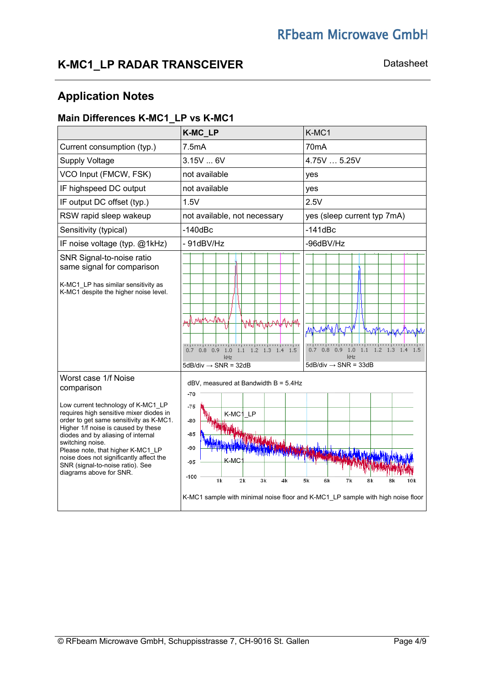# K-MC1\_LP RADAR TRANSCEIVER **Datasheet** Datasheet

# **Application Notes**

## **Main Differences K-MC1\_LP vs K-MC1**

|                                                                                                                                                                                                                                                                                                                                                                                                                | K-MC_LP                                                                                                                                         | K-MC1                                                                                                   |
|----------------------------------------------------------------------------------------------------------------------------------------------------------------------------------------------------------------------------------------------------------------------------------------------------------------------------------------------------------------------------------------------------------------|-------------------------------------------------------------------------------------------------------------------------------------------------|---------------------------------------------------------------------------------------------------------|
| Current consumption (typ.)                                                                                                                                                                                                                                                                                                                                                                                     | 7.5mA                                                                                                                                           | 70 <sub>m</sub> A                                                                                       |
| <b>Supply Voltage</b>                                                                                                                                                                                                                                                                                                                                                                                          | 3.15V  6V                                                                                                                                       | 4.75V  5.25V                                                                                            |
| VCO Input (FMCW, FSK)                                                                                                                                                                                                                                                                                                                                                                                          | not available                                                                                                                                   | yes                                                                                                     |
| IF highspeed DC output                                                                                                                                                                                                                                                                                                                                                                                         | not available                                                                                                                                   | yes                                                                                                     |
| IF output DC offset (typ.)                                                                                                                                                                                                                                                                                                                                                                                     | 1.5V                                                                                                                                            | 2.5V                                                                                                    |
| RSW rapid sleep wakeup                                                                                                                                                                                                                                                                                                                                                                                         | not available, not necessary                                                                                                                    | yes (sleep current typ 7mA)                                                                             |
| Sensitivity (typical)                                                                                                                                                                                                                                                                                                                                                                                          | $-140$ d $Bc$                                                                                                                                   | $-141dBc$                                                                                               |
| IF noise voltage (typ. @1kHz)                                                                                                                                                                                                                                                                                                                                                                                  | $-91$ d $BV/Hz$                                                                                                                                 | -96dBV/Hz                                                                                               |
| SNR Signal-to-noise ratio<br>same signal for comparison<br>K-MC1_LP has similar sensitivity as<br>K-MC1 despite the higher noise level.                                                                                                                                                                                                                                                                        | MW<br>անդիպային այն առին այն ա<br>$0.7$ 0.8 0.9<br>1.0 1.1 1.2 1.3 1.4 1.5<br>kHz<br>$5dB/div \rightarrow SNR = 32dB$                           | $0.7$ $0.8$ $0.9$<br>$1.1$ $1.2$ $1.3$ $1.4$ $1.5$<br>1.0<br>kHz<br>5dB/div $\rightarrow$ SNR = 33dB    |
| Worst case 1/f Noise<br>comparison<br>Low current technology of K-MC1 LP<br>requires high sensitive mixer diodes in<br>order to get same sensitivity as K-MC1.<br>Higher 1/f noise is caused by these<br>diodes and by aliasing of internal<br>switching noise.<br>Please note, that higher K-MC1 LP<br>noise does not significantly affect the<br>SNR (signal-to-noise ratio). See<br>diagrams above for SNR. | $dBV$ , measured at Bandwidth B = 5.4Hz<br>$-70$<br>$-75$<br>K-MC1 LP<br>-80<br>$-85$<br>-90<br>K-MC<br>$-95$<br>$-100$<br>1k<br>2k<br>3k<br>4k | 5k<br>6k<br>7k<br>8k<br>K-MC1 sample with minimal noise floor and K-MC1_LP sample with high noise floor |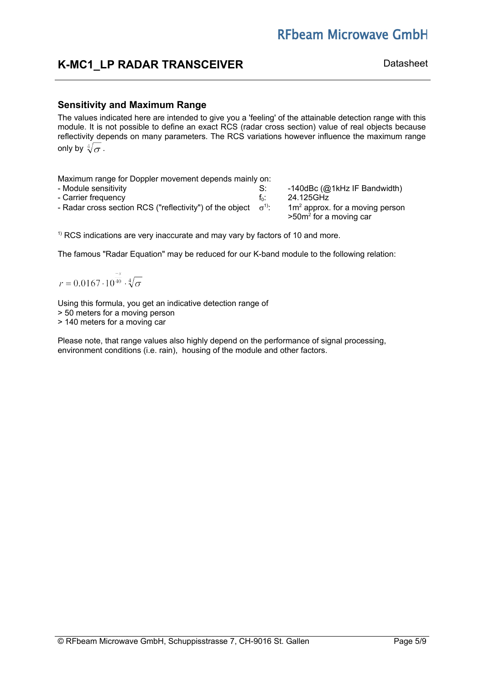# **RFbeam Microwave GmbH**

## **K-MC1 LP RADAR TRANSCEIVER** Datasheet

## **Sensitivity and Maximum Range**

The values indicated here are intended to give you a 'feeling' of the attainable detection range with this module. It is not possible to define an exact RCS (radar cross section) value of real objects because reflectivity depends on many parameters. The RCS variations however influence the maximum range only by  $\sqrt[4]{\sigma}$ .

Maximum range for Doppler movement depends mainly on: - Module sensitivity **S:** -140dBc (@1kHz IF Bandwidth) - Carrier frequency and the contract of the carrier frequency of the contract of the 24.125GHz - Radar cross section RCS ("reflectivity") of the object  $\sigma$ <sup>1)</sup>:  $1$ : 1m<sup>2</sup> approx. for a moving person  $>50m<sup>2</sup>$  for a moving car

 $1)$  RCS indications are very inaccurate and may vary by factors of 10 and more.

The famous "Radar Equation" may be reduced for our K-band module to the following relation:

 $r = 0.0167 \cdot 10^{40} \cdot \sqrt[4]{\sigma}$ 

Using this formula, you get an indicative detection range of

> 50 meters for a moving person

> 140 meters for a moving car

Please note, that range values also highly depend on the performance of signal processing, environment conditions (i.e. rain), housing of the module and other factors.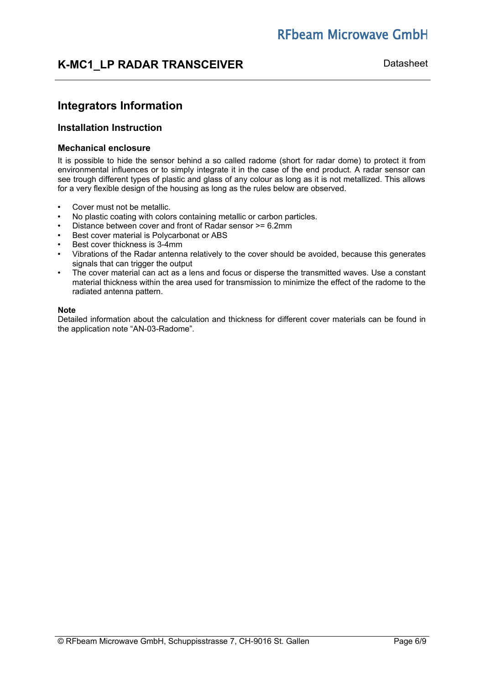## **K-MC1 LP RADAR TRANSCEIVER** Datasheet

## **Integrators Information**

## **Installation Instruction**

#### **Mechanical enclosure**

It is possible to hide the sensor behind a so called radome (short for radar dome) to protect it from environmental influences or to simply integrate it in the case of the end product. A radar sensor can see trough different types of plastic and glass of any colour as long as it is not metallized. This allows for a very flexible design of the housing as long as the rules below are observed.

- Cover must not be metallic.
- No plastic coating with colors containing metallic or carbon particles.
- Distance between cover and front of Radar sensor >= 6.2mm
- Best cover material is Polycarbonat or ABS
- Best cover thickness is 3-4mm
- Vibrations of the Radar antenna relatively to the cover should be avoided, because this generates signals that can trigger the output
- The cover material can act as a lens and focus or disperse the transmitted waves. Use a constant material thickness within the area used for transmission to minimize the effect of the radome to the radiated antenna pattern.

#### **Note**

Detailed information about the calculation and thickness for different cover materials can be found in the application note "AN-03-Radome".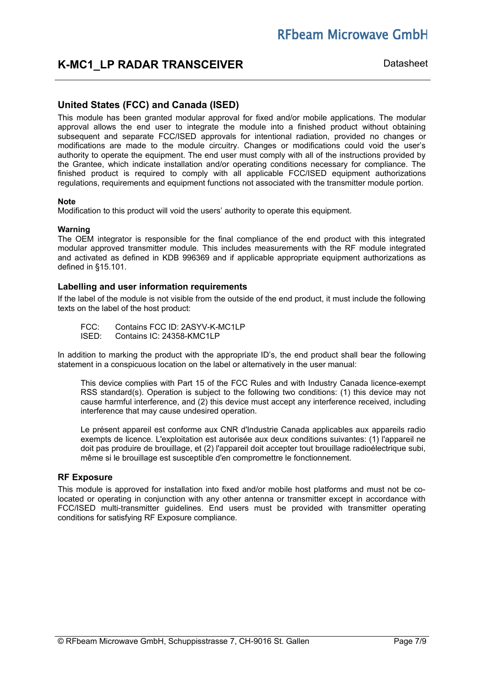## **K-MC1 LP RADAR TRANSCEIVER** Datasheet

## **United States (FCC) and Canada (ISED)**

This module has been granted modular approval for fixed and/or mobile applications. The modular approval allows the end user to integrate the module into a finished product without obtaining subsequent and separate FCC/ISED approvals for intentional radiation, provided no changes or modifications are made to the module circuitry. Changes or modifications could void the user's authority to operate the equipment. The end user must comply with all of the instructions provided by the Grantee, which indicate installation and/or operating conditions necessary for compliance. The finished product is required to comply with all applicable FCC/ISED equipment authorizations regulations, requirements and equipment functions not associated with the transmitter module portion.

#### **Note**

Modification to this product will void the users' authority to operate this equipment.

#### **Warning**

The OEM integrator is responsible for the final compliance of the end product with this integrated modular approved transmitter module. This includes measurements with the RF module integrated and activated as defined in KDB 996369 and if applicable appropriate equipment authorizations as defined in §15.101.

### **Labelling and user information requirements**

If the label of the module is not visible from the outside of the end product, it must include the following texts on the label of the host product:

FCC: Contains FCC ID: 2ASYV-K-MC1LP<br>ISED: Contains IC: 24358-KMC1LP Contains IC: 24358-KMC1LP

In addition to marking the product with the appropriate ID's, the end product shall bear the following statement in a conspicuous location on the label or alternatively in the user manual:

This device complies with Part 15 of the FCC Rules and with Industry Canada licence-exempt RSS standard(s). Operation is subject to the following two conditions: (1) this device may not cause harmful interference, and (2) this device must accept any interference received, including interference that may cause undesired operation.

Le présent appareil est conforme aux CNR d'Industrie Canada applicables aux appareils radio exempts de licence. L'exploitation est autorisée aux deux conditions suivantes: (1) l'appareil ne doit pas produire de brouillage, et (2) l'appareil doit accepter tout brouillage radioélectrique subi, même si le brouillage est susceptible d'en compromettre le fonctionnement.

#### **RF Exposure**

This module is approved for installation into fixed and/or mobile host platforms and must not be colocated or operating in conjunction with any other antenna or transmitter except in accordance with FCC/ISED multi-transmitter guidelines. End users must be provided with transmitter operating conditions for satisfying RF Exposure compliance.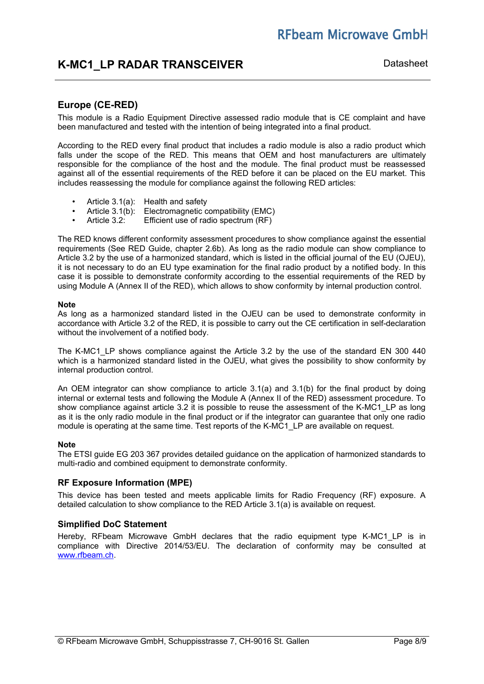## **K-MC1 LP RADAR TRANSCEIVER** Datasheet

## **Europe (CE-RED)**

This module is a Radio Equipment Directive assessed radio module that is CE complaint and have been manufactured and tested with the intention of being integrated into a final product.

According to the RED every final product that includes a radio module is also a radio product which falls under the scope of the RED. This means that OEM and host manufacturers are ultimately responsible for the compliance of the host and the module. The final product must be reassessed against all of the essential requirements of the RED before it can be placed on the EU market. This includes reassessing the module for compliance against the following RED articles:

- Article 3.1(a): Health and safety
- Article 3.1(b): Electromagnetic compatibility (EMC)<br>• Article 3.2: Efficient use of radio spectrum (RF)
- Article 3.2: Efficient use of radio spectrum (RF)

The RED knows different conformity assessment procedures to show compliance against the essential requirements (See RED Guide, chapter 2.6b). As long as the radio module can show compliance to Article 3.2 by the use of a harmonized standard, which is listed in the official journal of the EU (OJEU), it is not necessary to do an EU type examination for the final radio product by a notified body. In this case it is possible to demonstrate conformity according to the essential requirements of the RED by using Module A (Annex II of the RED), which allows to show conformity by internal production control.

#### **Note**

As long as a harmonized standard listed in the OJEU can be used to demonstrate conformity in accordance with Article 3.2 of the RED, it is possible to carry out the CE certification in self-declaration without the involvement of a notified body.

The K-MC1\_LP shows compliance against the Article 3.2 by the use of the standard EN 300 440 which is a harmonized standard listed in the OJEU, what gives the possibility to show conformity by internal production control.

An OEM integrator can show compliance to article 3.1(a) and 3.1(b) for the final product by doing internal or external tests and following the Module A (Annex II of the RED) assessment procedure. To show compliance against article 3.2 it is possible to reuse the assessment of the K-MC1. LP as long as it is the only radio module in the final product or if the integrator can guarantee that only one radio module is operating at the same time. Test reports of the K-MC1 LP are available on request.

#### **Note**

The ETSI guide EG 203 367 provides detailed guidance on the application of harmonized standards to multi-radio and combined equipment to demonstrate conformity.

#### **RF Exposure Information (MPE)**

This device has been tested and meets applicable limits for Radio Frequency (RF) exposure. A detailed calculation to show compliance to the RED Article 3.1(a) is available on request.

#### **Simplified DoC Statement**

Hereby, RFbeam Microwave GmbH declares that the radio equipment type K-MC1 LP is in compliance with Directive 2014/53/EU. The declaration of conformity may be consulted at [www.rfbeam.ch.](http://www.rfbeam.ch/)